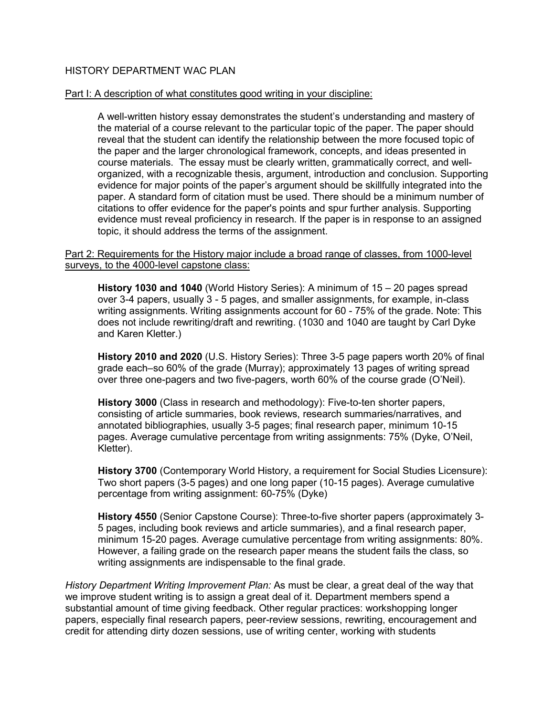# HISTORY DEPARTMENT WAC PLAN

#### Part I: A description of what constitutes good writing in your discipline:

A well-written history essay demonstrates the student's understanding and mastery of the material of a course relevant to the particular topic of the paper. The paper should reveal that the student can identify the relationship between the more focused topic of the paper and the larger chronological framework, concepts, and ideas presented in course materials. The essay must be clearly written, grammatically correct, and wellorganized, with a recognizable thesis, argument, introduction and conclusion. Supporting evidence for major points of the paper's argument should be skillfully integrated into the paper. A standard form of citation must be used. There should be a minimum number of citations to offer evidence for the paper's points and spur further analysis. Supporting evidence must reveal proficiency in research. If the paper is in response to an assigned topic, it should address the terms of the assignment.

#### Part 2: Requirements for the History major include a broad range of classes, from 1000-level surveys, to the 4000-level capstone class:

**History 1030 and 1040** (World History Series): A minimum of 15 – 20 pages spread over 3-4 papers, usually 3 - 5 pages, and smaller assignments, for example, in-class writing assignments. Writing assignments account for 60 - 75% of the grade. Note: This does not include rewriting/draft and rewriting. (1030 and 1040 are taught by Carl Dyke and Karen Kletter.)

**History 2010 and 2020** (U.S. History Series): Three 3-5 page papers worth 20% of final grade each–so 60% of the grade (Murray); approximately 13 pages of writing spread over three one-pagers and two five-pagers, worth 60% of the course grade (O'Neil).

**History 3000** (Class in research and methodology): Five-to-ten shorter papers, consisting of article summaries, book reviews, research summaries/narratives, and annotated bibliographies, usually 3-5 pages; final research paper, minimum 10-15 pages. Average cumulative percentage from writing assignments: 75% (Dyke, O'Neil, Kletter).

**History 3700** (Contemporary World History, a requirement for Social Studies Licensure): Two short papers (3-5 pages) and one long paper (10-15 pages). Average cumulative percentage from writing assignment: 60-75% (Dyke)

**History 4550** (Senior Capstone Course): Three-to-five shorter papers (approximately 3- 5 pages, including book reviews and article summaries), and a final research paper, minimum 15-20 pages. Average cumulative percentage from writing assignments: 80%. However, a failing grade on the research paper means the student fails the class, so writing assignments are indispensable to the final grade.

*History Department Writing Improvement Plan:* As must be clear, a great deal of the way that we improve student writing is to assign a great deal of it. Department members spend a substantial amount of time giving feedback. Other regular practices: workshopping longer papers, especially final research papers, peer-review sessions, rewriting, encouragement and credit for attending dirty dozen sessions, use of writing center, working with students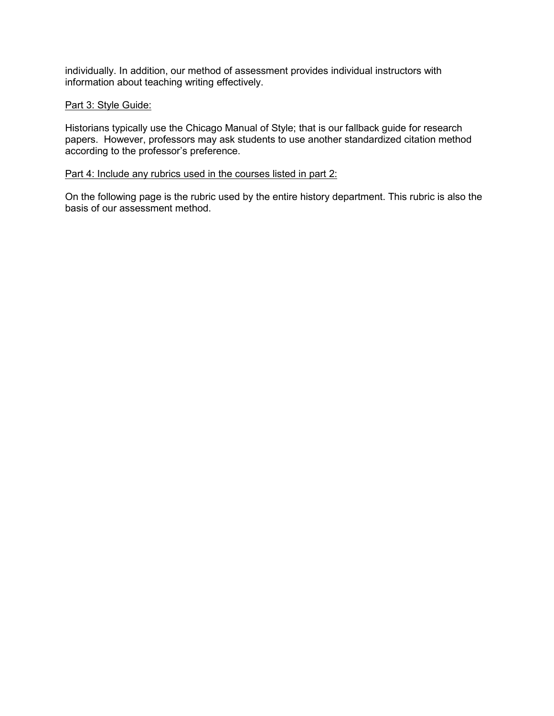individually. In addition, our method of assessment provides individual instructors with information about teaching writing effectively.

## Part 3: Style Guide:

Historians typically use the Chicago Manual of Style; that is our fallback guide for research papers. However, professors may ask students to use another standardized citation method according to the professor's preference.

### Part 4: Include any rubrics used in the courses listed in part 2:

On the following page is the rubric used by the entire history department. This rubric is also the basis of our assessment method.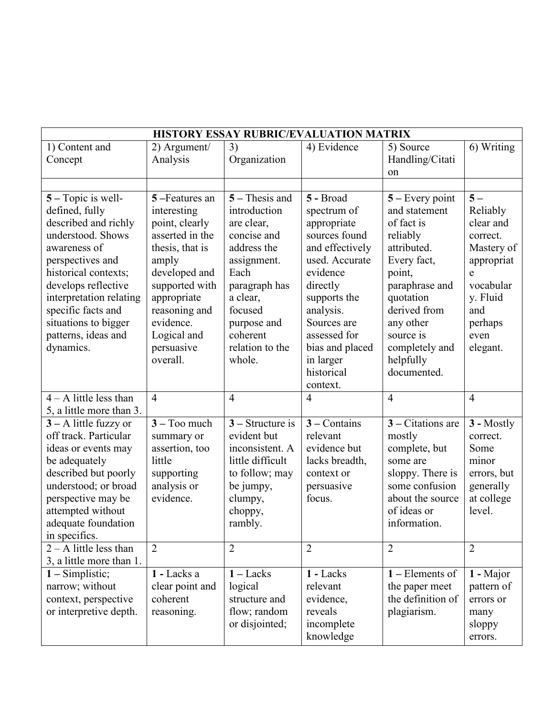| HISTORY ESSAY RUBRIC/EVALUATION MATRIX              |                 |                    |                 |                     |                |  |  |  |  |
|-----------------------------------------------------|-----------------|--------------------|-----------------|---------------------|----------------|--|--|--|--|
| 1) Content and                                      | 2) Argument/    | 3)                 | 4) Evidence     | 5) Source           | 6) Writing     |  |  |  |  |
| Concept                                             | Analysis        | Organization       |                 | Handling/Citati     |                |  |  |  |  |
|                                                     |                 |                    |                 | on                  |                |  |  |  |  |
|                                                     |                 |                    |                 |                     |                |  |  |  |  |
| $5 - \text{Topic}$ is well-                         | 5-Features an   | $5 -$ Thesis and   | 5 - Broad       | $5 -$ Every point   | $5-$           |  |  |  |  |
| defined, fully                                      | interesting     | introduction       | spectrum of     | and statement       | Reliably       |  |  |  |  |
| described and richly                                | point, clearly  | are clear,         | appropriate     | of fact is          | clear and      |  |  |  |  |
| understood. Shows                                   | asserted in the | concise and        | sources found   | reliably            | correct.       |  |  |  |  |
| awareness of                                        | thesis, that is | address the        | and effectively | attributed.         | Mastery of     |  |  |  |  |
| perspectives and                                    | amply           | assignment.        | used. Accurate  | Every fact,         | appropriat     |  |  |  |  |
| historical contexts;                                | developed and   | Each               | evidence        | point,              | e              |  |  |  |  |
| develops reflective                                 | supported with  | paragraph has      | directly        | paraphrase and      | vocabular      |  |  |  |  |
| interpretation relating                             | appropriate     | a clear,           | supports the    | quotation           | y. Fluid       |  |  |  |  |
| specific facts and                                  | reasoning and   | focused            | analysis.       | derived from        | and            |  |  |  |  |
| situations to bigger                                | evidence.       | purpose and        | Sources are     | any other           | perhaps        |  |  |  |  |
| patterns, ideas and                                 | Logical and     | coherent           | assessed for    | source is           | even           |  |  |  |  |
| dynamics.                                           | persuasive      | relation to the    | bias and placed | completely and      | elegant.       |  |  |  |  |
|                                                     | overall.        | whole.             | in larger       | helpfully           |                |  |  |  |  |
|                                                     |                 |                    | historical      | documented.         |                |  |  |  |  |
| $4 - A$ little less than                            | $\overline{4}$  | $\overline{4}$     | context.        | $\overline{4}$      | $\overline{4}$ |  |  |  |  |
|                                                     |                 |                    | 4               |                     |                |  |  |  |  |
| 5, a little more than 3.<br>$3 - A$ little fuzzy or | $3 - Too$ much  | $3 -$ Structure is | $3$ – Contains  | $3$ – Citations are | 3 - Mostly     |  |  |  |  |
| off track. Particular                               | summary or      | evident but        | relevant        | mostly              | correct.       |  |  |  |  |
| ideas or events may                                 | assertion, too  | inconsistent. A    | evidence but    | complete, but       | Some           |  |  |  |  |
| be adequately                                       | little          | little difficult   | lacks breadth,  | some are            | minor          |  |  |  |  |
| described but poorly                                | supporting      | to follow; may     | context or      | sloppy. There is    | errors, but    |  |  |  |  |
| understood; or broad                                | analysis or     | be jumpy,          | persuasive      | some confusion      | generally      |  |  |  |  |
| perspective may be                                  | evidence.       | clumpy,            | focus.          | about the source    | at college     |  |  |  |  |
| attempted without                                   |                 | choppy,            |                 | of ideas or         | level.         |  |  |  |  |
| adequate foundation                                 |                 | rambly.            |                 | information.        |                |  |  |  |  |
| in specifics.                                       |                 |                    |                 |                     |                |  |  |  |  |
| $2 - A$ little less than                            | $\overline{2}$  | $\overline{2}$     | $\overline{2}$  | $\overline{2}$      | $\overline{2}$ |  |  |  |  |
| 3, a little more than 1.                            |                 |                    |                 |                     |                |  |  |  |  |
| $1 -$ Simplistic;                                   | 1 - Lacks a     | $1 -$ Lacks        | 1 - Lacks       | $1$ – Elements of   | 1 - Major      |  |  |  |  |
| narrow; without                                     | clear point and | logical            | relevant        | the paper meet      | pattern of     |  |  |  |  |
| context, perspective                                | coherent        | structure and      | evidence,       | the definition of   | errors or      |  |  |  |  |
| or interpretive depth.                              | reasoning.      | flow; random       | reveals         | plagiarism.         | many           |  |  |  |  |
|                                                     |                 | or disjointed;     | incomplete      |                     | sloppy         |  |  |  |  |
|                                                     |                 |                    | knowledge       |                     | errors.        |  |  |  |  |